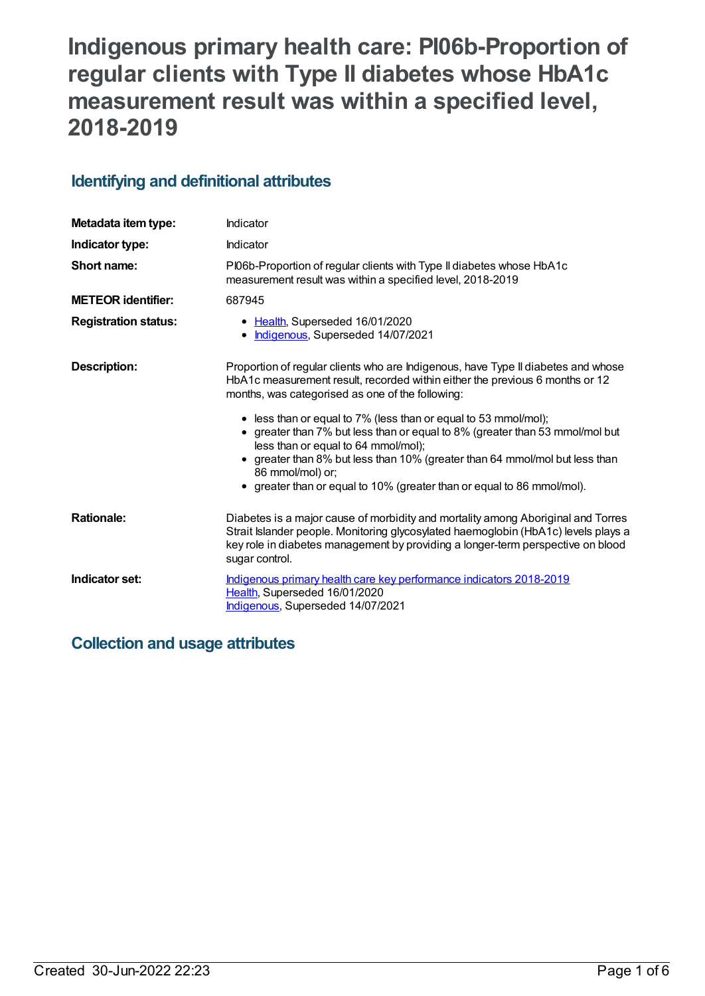# **Indigenous primary health care: PI06b-Proportion of regular clients with Type II diabetes whose HbA1c measurement result was within a specified level, 2018-2019**

# **Identifying and definitional attributes**

| Metadata item type:         | Indicator                                                                                                                                                                                                                                                                                                                                                                                                                                                                                                                                                                                    |
|-----------------------------|----------------------------------------------------------------------------------------------------------------------------------------------------------------------------------------------------------------------------------------------------------------------------------------------------------------------------------------------------------------------------------------------------------------------------------------------------------------------------------------------------------------------------------------------------------------------------------------------|
| Indicator type:             | Indicator                                                                                                                                                                                                                                                                                                                                                                                                                                                                                                                                                                                    |
| Short name:                 | PI06b-Proportion of regular clients with Type II diabetes whose HbA1c<br>measurement result was within a specified level, 2018-2019                                                                                                                                                                                                                                                                                                                                                                                                                                                          |
| <b>METEOR</b> identifier:   | 687945                                                                                                                                                                                                                                                                                                                                                                                                                                                                                                                                                                                       |
| <b>Registration status:</b> | • Health, Superseded 16/01/2020<br>• Indigenous, Superseded 14/07/2021                                                                                                                                                                                                                                                                                                                                                                                                                                                                                                                       |
| <b>Description:</b>         | Proportion of regular clients who are Indigenous, have Type II diabetes and whose<br>HbA1c measurement result, recorded within either the previous 6 months or 12<br>months, was categorised as one of the following:<br>• less than or equal to 7% (less than or equal to 53 mmol/mol);<br>• greater than 7% but less than or equal to 8% (greater than 53 mmol/mol but<br>less than or equal to 64 mmol/mol);<br>• greater than 8% but less than 10% (greater than 64 mmol/mol but less than<br>86 mmol/mol) or;<br>• greater than or equal to 10% (greater than or equal to 86 mmol/mol). |
| <b>Rationale:</b>           | Diabetes is a major cause of morbidity and mortality among Aboriginal and Torres<br>Strait Islander people. Monitoring glycosylated haemoglobin (HbA1c) levels plays a<br>key role in diabetes management by providing a longer-term perspective on blood<br>sugar control.                                                                                                                                                                                                                                                                                                                  |
| Indicator set:              | Indigenous primary health care key performance indicators 2018-2019<br>Health, Superseded 16/01/2020<br>Indigenous, Superseded 14/07/2021                                                                                                                                                                                                                                                                                                                                                                                                                                                    |

# **Collection and usage attributes**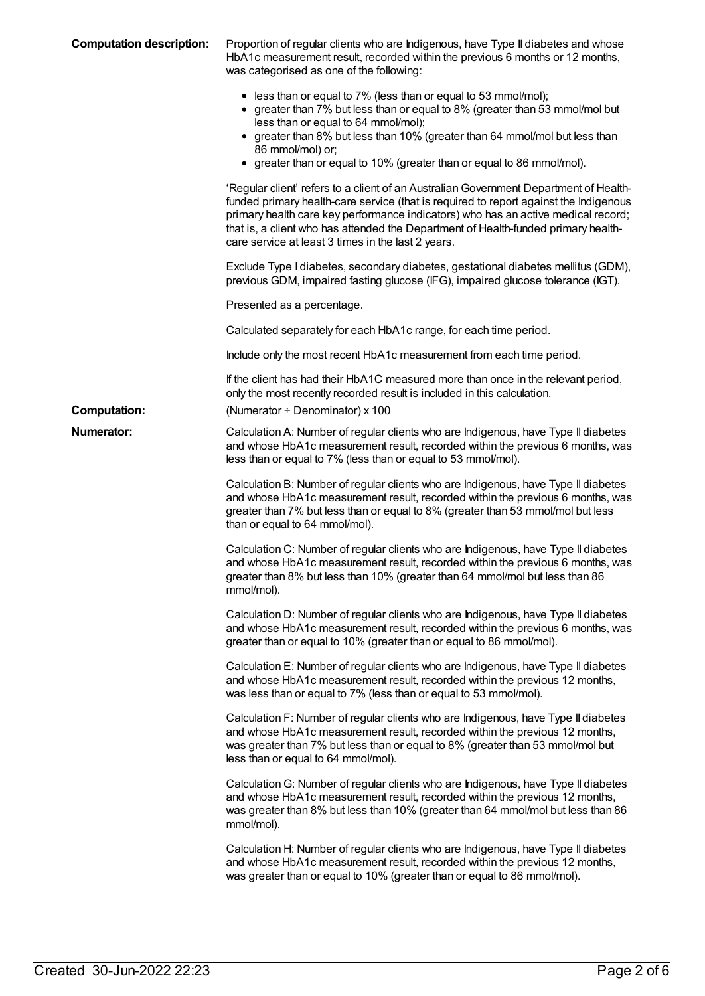| <b>Computation description:</b> | Proportion of regular clients who are Indigenous, have Type II diabetes and whose<br>HbA1c measurement result, recorded within the previous 6 months or 12 months,<br>was categorised as one of the following:                                                                                                                                                                                                  |
|---------------------------------|-----------------------------------------------------------------------------------------------------------------------------------------------------------------------------------------------------------------------------------------------------------------------------------------------------------------------------------------------------------------------------------------------------------------|
|                                 | • less than or equal to 7% (less than or equal to 53 mmol/mol);<br>• greater than 7% but less than or equal to 8% (greater than 53 mmol/mol but<br>less than or equal to 64 mmol/mol);<br>• greater than 8% but less than 10% (greater than 64 mmol/mol but less than<br>86 mmol/mol) or;<br>• greater than or equal to 10% (greater than or equal to 86 mmol/mol).                                             |
|                                 | 'Regular client' refers to a client of an Australian Government Department of Health-<br>funded primary health-care service (that is required to report against the Indigenous<br>primary health care key performance indicators) who has an active medical record;<br>that is, a client who has attended the Department of Health-funded primary health-<br>care service at least 3 times in the last 2 years. |
|                                 | Exclude Type I diabetes, secondary diabetes, gestational diabetes mellitus (GDM),<br>previous GDM, impaired fasting glucose (IFG), impaired glucose tolerance (IGT).                                                                                                                                                                                                                                            |
|                                 | Presented as a percentage.                                                                                                                                                                                                                                                                                                                                                                                      |
|                                 | Calculated separately for each HbA1c range, for each time period.                                                                                                                                                                                                                                                                                                                                               |
|                                 | Include only the most recent HbA1c measurement from each time period.                                                                                                                                                                                                                                                                                                                                           |
|                                 | If the client has had their HbA1C measured more than once in the relevant period,<br>only the most recently recorded result is included in this calculation.                                                                                                                                                                                                                                                    |
| <b>Computation:</b>             | (Numerator + Denominator) x 100                                                                                                                                                                                                                                                                                                                                                                                 |
| Numerator:                      | Calculation A: Number of regular clients who are Indigenous, have Type II diabetes<br>and whose HbA1c measurement result, recorded within the previous 6 months, was<br>less than or equal to 7% (less than or equal to 53 mmol/mol).                                                                                                                                                                           |
|                                 | Calculation B: Number of regular clients who are Indigenous, have Type II diabetes<br>and whose HbA1c measurement result, recorded within the previous 6 months, was<br>greater than 7% but less than or equal to 8% (greater than 53 mmol/mol but less<br>than or equal to 64 mmol/mol).                                                                                                                       |
|                                 | Calculation C: Number of regular clients who are Indigenous, have Type II diabetes<br>and whose HbA1c measurement result, recorded within the previous 6 months, was<br>greater than 8% but less than 10% (greater than 64 mmol/mol but less than 86<br>mmol/mol).                                                                                                                                              |
|                                 | Calculation D: Number of regular clients who are Indigenous, have Type II diabetes<br>and whose HbA1c measurement result, recorded within the previous 6 months, was<br>greater than or equal to 10% (greater than or equal to 86 mmol/mol).                                                                                                                                                                    |
|                                 | Calculation E: Number of regular clients who are Indigenous, have Type II diabetes<br>and whose HbA1c measurement result, recorded within the previous 12 months,<br>was less than or equal to 7% (less than or equal to 53 mmol/mol).                                                                                                                                                                          |
|                                 | Calculation F: Number of regular clients who are Indigenous, have Type II diabetes<br>and whose HbA1c measurement result, recorded within the previous 12 months,<br>was greater than 7% but less than or equal to 8% (greater than 53 mmol/mol but<br>less than or equal to 64 mmol/mol).                                                                                                                      |
|                                 | Calculation G: Number of regular clients who are Indigenous, have Type II diabetes<br>and whose HbA1c measurement result, recorded within the previous 12 months,<br>was greater than 8% but less than 10% (greater than 64 mmol/mol but less than 86<br>mmol/mol).                                                                                                                                             |
|                                 | Calculation H: Number of regular clients who are Indigenous, have Type II diabetes<br>and whose HbA1c measurement result, recorded within the previous 12 months,<br>was greater than or equal to 10% (greater than or equal to 86 mmol/mol).                                                                                                                                                                   |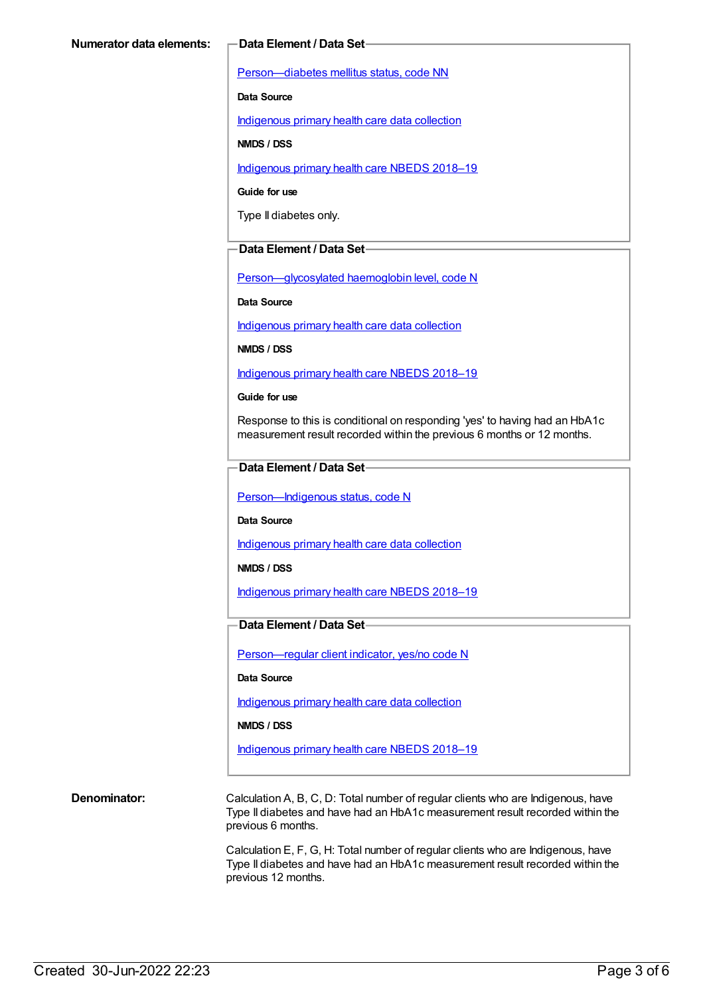[Person—diabetes](https://meteor.aihw.gov.au/content/270194) mellitus status, code NN

**Data Source**

[Indigenous](https://meteor.aihw.gov.au/content/430643) primary health care data collection

**NMDS / DSS**

[Indigenous](https://meteor.aihw.gov.au/content/694101) primary health care NBEDS 2018–19

**Guide for use**

Type II diabetes only.

#### **Data Element / Data Set**

[Person—glycosylated](https://meteor.aihw.gov.au/content/589601) haemoglobin level, code N

**Data Source**

[Indigenous](https://meteor.aihw.gov.au/content/430643) primary health care data collection

**NMDS / DSS**

[Indigenous](https://meteor.aihw.gov.au/content/694101) primary health care NBEDS 2018–19

#### **Guide for use**

Response to this is conditional on responding 'yes' to having had an HbA1c measurement result recorded within the previous 6 months or 12 months.

#### **Data Element / Data Set**

Person-Indigenous status, code N

**Data Source**

[Indigenous](https://meteor.aihw.gov.au/content/430643) primary health care data collection

**NMDS / DSS**

[Indigenous](https://meteor.aihw.gov.au/content/694101) primary health care NBEDS 2018–19

### **Data Element / Data Set**

[Person—regular](https://meteor.aihw.gov.au/content/686291) client indicator, yes/no code N

#### **Data Source**

[Indigenous](https://meteor.aihw.gov.au/content/430643) primary health care data collection

**NMDS / DSS**

[Indigenous](https://meteor.aihw.gov.au/content/694101) primary health care NBEDS 2018-19

**Denominator:** Calculation A, B, C, D: Total number of regular clients who are Indigenous, have Type II diabetes and have had an HbA1c measurement result recorded within the previous 6 months.

> Calculation E, F, G, H: Total number of regular clients who are Indigenous, have Type II diabetes and have had an HbA1c measurement result recorded within the previous 12 months.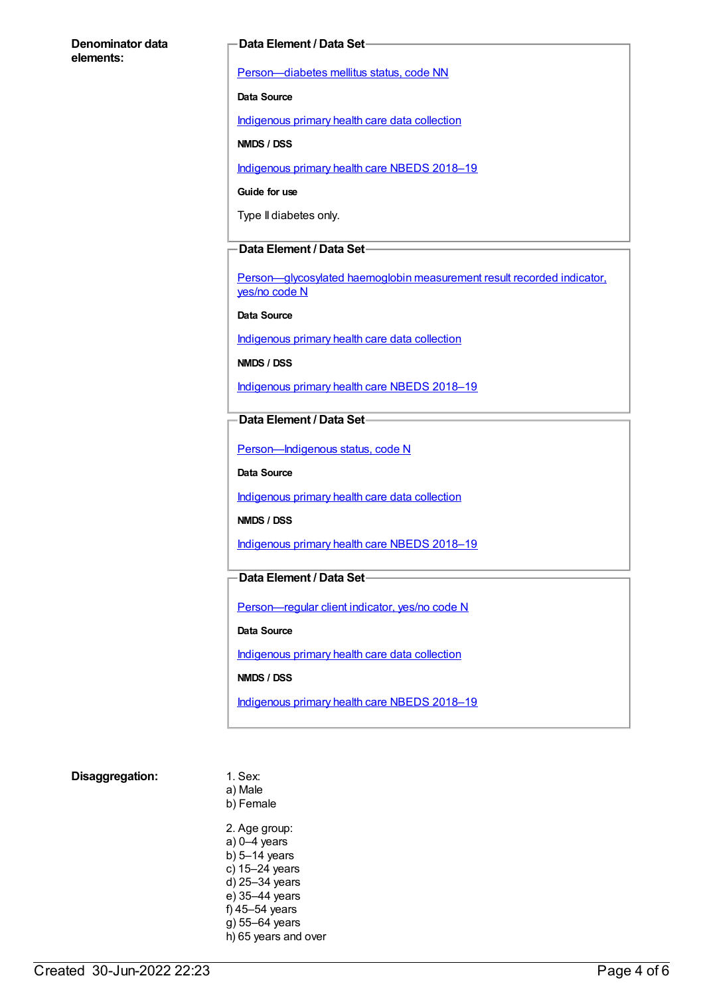#### **Denominator data elements:**

#### **Data Element / Data Set**

[Person—diabetes](https://meteor.aihw.gov.au/content/270194) mellitus status, code NN

**Data Source**

[Indigenous](https://meteor.aihw.gov.au/content/430643) primary health care data collection

**NMDS / DSS**

[Indigenous](https://meteor.aihw.gov.au/content/694101) primary health care NBEDS 2018–19

**Guide for use**

Type II diabetes only.

#### **Data Element / Data Set**

[Person—glycosylated](https://meteor.aihw.gov.au/content/441495) haemoglobin measurement result recorded indicator, yes/no code N

**Data Source**

[Indigenous](https://meteor.aihw.gov.au/content/430643) primary health care data collection

**NMDS / DSS**

[Indigenous](https://meteor.aihw.gov.au/content/694101) primary health care NBEDS 2018-19

**Data Element / Data Set**

Person-Indigenous status, code N

**Data Source**

[Indigenous](https://meteor.aihw.gov.au/content/430643) primary health care data collection

**NMDS / DSS**

[Indigenous](https://meteor.aihw.gov.au/content/694101) primary health care NBEDS 2018–19

### **Data Element / Data Set**

[Person—regular](https://meteor.aihw.gov.au/content/686291) client indicator, yes/no code N

**Data Source**

[Indigenous](https://meteor.aihw.gov.au/content/430643) primary health care data collection

**NMDS / DSS**

[Indigenous](https://meteor.aihw.gov.au/content/694101) primary health care NBEDS 2018-19

#### **Disaggregation:** 1. Sex:

a) Male b) Female 2. Age group: a) 0–4 years b) 5–14 years c) 15–24 years d) 25–34 years e) 35–44 years f) 45–54 years g) 55–64 years

h) 65 years and over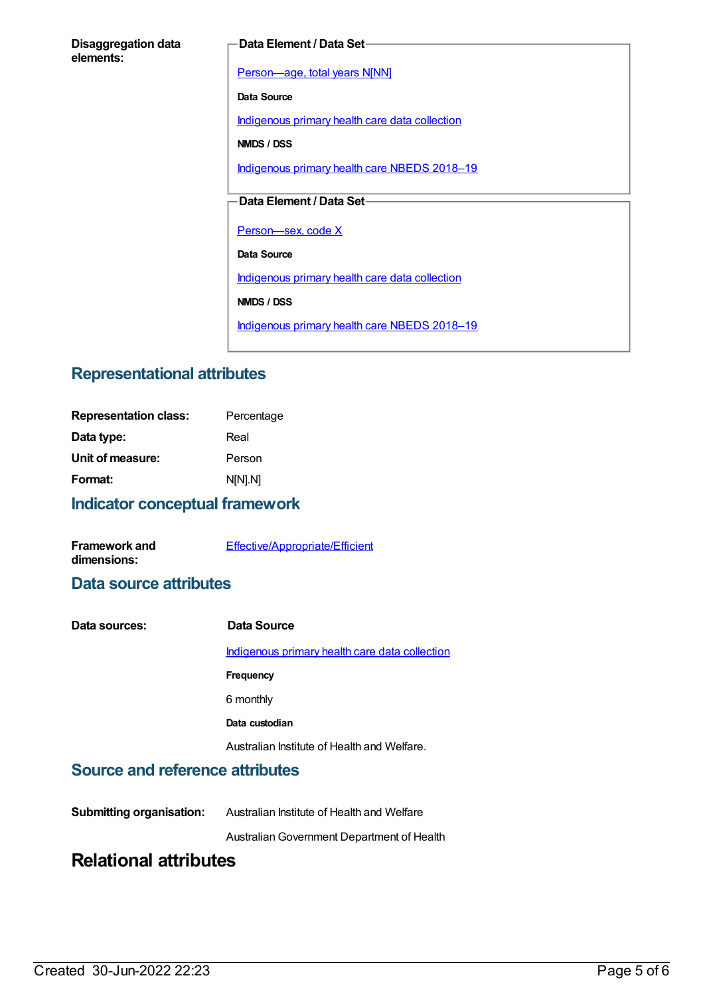#### **Disaggregation data elements:**

#### **Data Element / Data Set**

[Person—age,](https://meteor.aihw.gov.au/content/303794) total years N[NN]

**Data Source**

[Indigenous](https://meteor.aihw.gov.au/content/430643) primary health care data collection

**NMDS / DSS**

[Indigenous](https://meteor.aihw.gov.au/content/694101) primary health care NBEDS 2018-19

## **Data Element / Data Set**

Person-sex, code X

**Data Source**

[Indigenous](https://meteor.aihw.gov.au/content/430643) primary health care data collection

**NMDS / DSS**

[Indigenous](https://meteor.aihw.gov.au/content/694101) primary health care NBEDS 2018-19

# **Representational attributes**

| Indicator conceptual framework |            |  |
|--------------------------------|------------|--|
| Format:                        | N[N].N]    |  |
| Unit of measure:               | Person     |  |
| Data type:                     | Real       |  |
| <b>Representation class:</b>   | Percentage |  |

| <b>Framework and</b> | Effective/Appropriate/Efficient |
|----------------------|---------------------------------|
| dimensions:          |                                 |

# **Data source attributes**

| Data sources: | Data Source                                    |
|---------------|------------------------------------------------|
|               | Indigenous primary health care data collection |
|               | Frequency                                      |
|               | 6 monthly                                      |
|               | Data custodian                                 |
|               | Australian Institute of Health and Welfare.    |

# **Source and reference attributes**

| <b>Submitting organisation:</b> | Australian Institute of Health and Welfare |
|---------------------------------|--------------------------------------------|
|---------------------------------|--------------------------------------------|

AustralianGovernment Department of Health

# **Relational attributes**